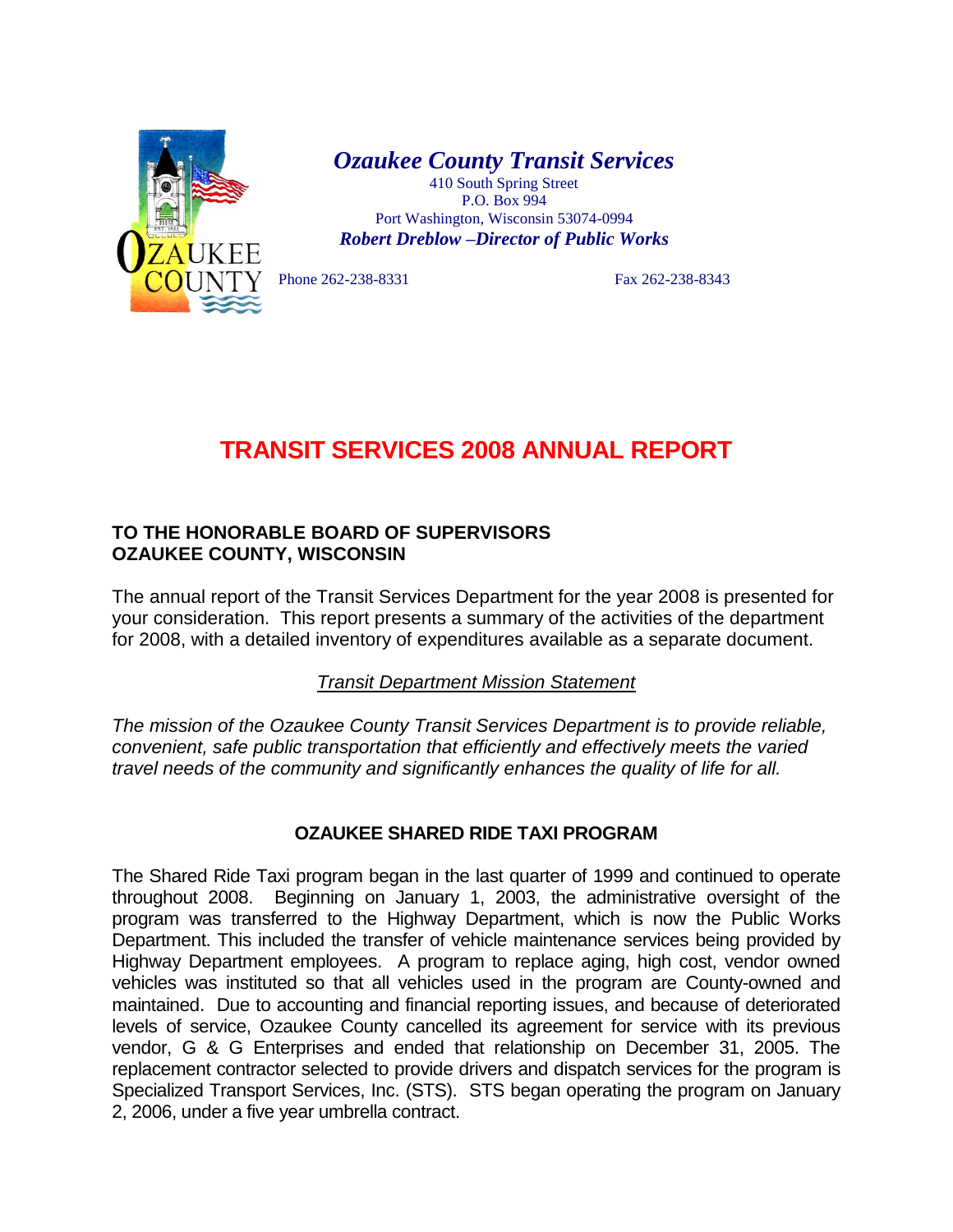

*Ozaukee County Transit Services*

410 South Spring Street P.O. Box 994 Port Washington, Wisconsin 53074-0994 *Robert Dreblow –Director of Public Works*

Phone 262-238-8331 Fax 262-238-8343

## **TRANSIT SERVICES 2008 ANNUAL REPORT**

## **TO THE HONORABLE BOARD OF SUPERVISORS OZAUKEE COUNTY, WISCONSIN**

The annual report of the Transit Services Department for the year 2008 is presented for your consideration. This report presents a summary of the activities of the department for 2008, with a detailed inventory of expenditures available as a separate document.

*Transit Department Mission Statement*

*The mission of the Ozaukee County Transit Services Department is to provide reliable, convenient, safe public transportation that efficiently and effectively meets the varied travel needs of the community and significantly enhances the quality of life for all.*

## **OZAUKEE SHARED RIDE TAXI PROGRAM**

The Shared Ride Taxi program began in the last quarter of 1999 and continued to operate throughout 2008. Beginning on January 1, 2003, the administrative oversight of the program was transferred to the Highway Department, which is now the Public Works Department. This included the transfer of vehicle maintenance services being provided by Highway Department employees. A program to replace aging, high cost, vendor owned vehicles was instituted so that all vehicles used in the program are County-owned and maintained. Due to accounting and financial reporting issues, and because of deteriorated levels of service, Ozaukee County cancelled its agreement for service with its previous vendor, G & G Enterprises and ended that relationship on December 31, 2005. The replacement contractor selected to provide drivers and dispatch services for the program is Specialized Transport Services, Inc. (STS). STS began operating the program on January 2, 2006, under a five year umbrella contract.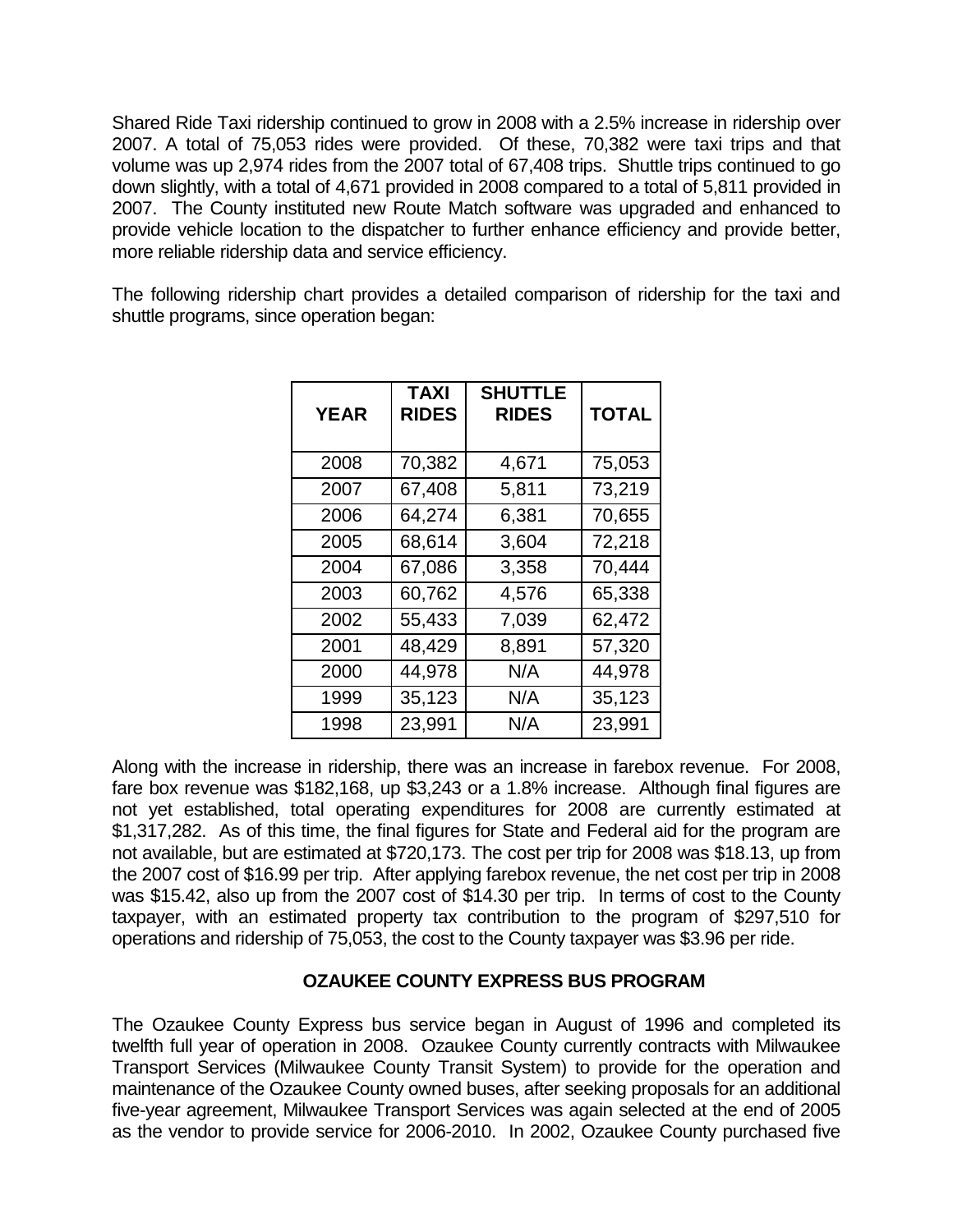Shared Ride Taxi ridership continued to grow in 2008 with a 2.5% increase in ridership over 2007. A total of 75,053 rides were provided. Of these, 70,382 were taxi trips and that volume was up 2,974 rides from the 2007 total of 67,408 trips. Shuttle trips continued to go down slightly, with a total of 4,671 provided in 2008 compared to a total of 5,811 provided in 2007. The County instituted new Route Match software was upgraded and enhanced to provide vehicle location to the dispatcher to further enhance efficiency and provide better, more reliable ridership data and service efficiency.

The following ridership chart provides a detailed comparison of ridership for the taxi and shuttle programs, since operation began:

| <b>YEAR</b> | <b>TAXI</b><br><b>RIDES</b> | <b>SHUTTLE</b><br><b>RIDES</b> | <b>TOTAL</b> |
|-------------|-----------------------------|--------------------------------|--------------|
| 2008        | 70,382                      | 4,671                          | 75,053       |
| 2007        | 67,408                      | 5,811                          | 73,219       |
| 2006        | 64,274                      | 6,381                          | 70,655       |
| 2005        | 68,614                      | 3,604                          | 72,218       |
| 2004        | 67,086                      | 3,358                          | 70,444       |
| 2003        | 60,762                      | 4,576                          | 65,338       |
| 2002        | 55,433                      | 7,039                          | 62,472       |
| 2001        | 48,429                      | 8,891                          | 57,320       |
| 2000        | 44,978                      | N/A                            | 44,978       |
| 1999        | 35,123                      | N/A                            | 35,123       |
| 1998        | 23,991                      | N/A                            | 23,991       |

Along with the increase in ridership, there was an increase in farebox revenue. For 2008, fare box revenue was \$182,168, up \$3,243 or a 1.8% increase. Although final figures are not yet established, total operating expenditures for 2008 are currently estimated at \$1,317,282. As of this time, the final figures for State and Federal aid for the program are not available, but are estimated at \$720,173. The cost per trip for 2008 was \$18.13, up from the 2007 cost of \$16.99 per trip. After applying farebox revenue, the net cost per trip in 2008 was \$15.42, also up from the 2007 cost of \$14.30 per trip. In terms of cost to the County taxpayer, with an estimated property tax contribution to the program of \$297,510 for operations and ridership of 75,053, the cost to the County taxpayer was \$3.96 per ride.

## **OZAUKEE COUNTY EXPRESS BUS PROGRAM**

The Ozaukee County Express bus service began in August of 1996 and completed its twelfth full year of operation in 2008. Ozaukee County currently contracts with Milwaukee Transport Services (Milwaukee County Transit System) to provide for the operation and maintenance of the Ozaukee County owned buses, after seeking proposals for an additional five-year agreement, Milwaukee Transport Services was again selected at the end of 2005 as the vendor to provide service for 2006-2010. In 2002, Ozaukee County purchased five